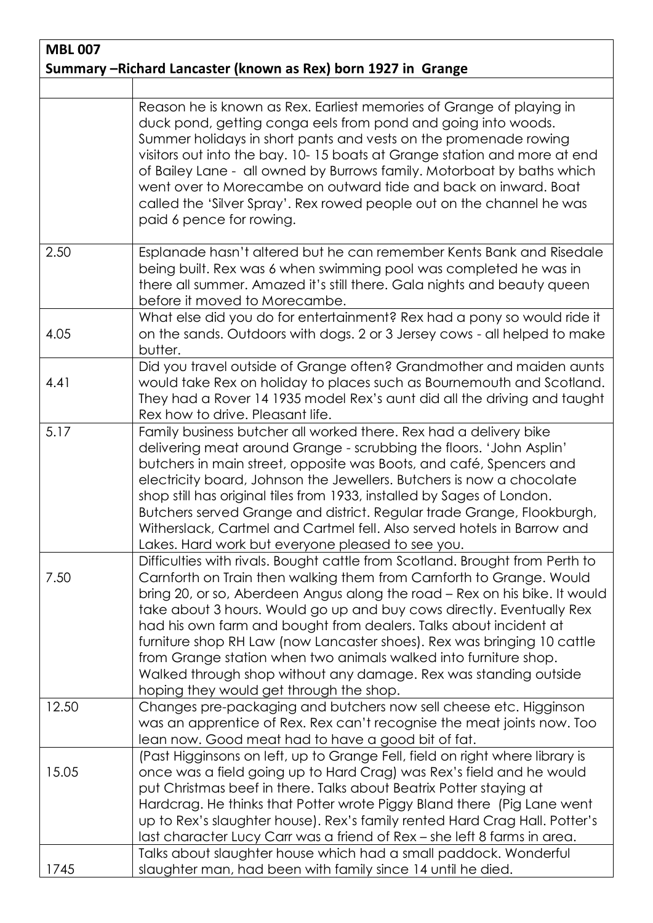| <b>MBL 007</b>                                                |                                                                                                                                                                                                                                                                                                                                                                                                                                                                                                                                                                                                                                                |  |
|---------------------------------------------------------------|------------------------------------------------------------------------------------------------------------------------------------------------------------------------------------------------------------------------------------------------------------------------------------------------------------------------------------------------------------------------------------------------------------------------------------------------------------------------------------------------------------------------------------------------------------------------------------------------------------------------------------------------|--|
| Summary -Richard Lancaster (known as Rex) born 1927 in Grange |                                                                                                                                                                                                                                                                                                                                                                                                                                                                                                                                                                                                                                                |  |
|                                                               |                                                                                                                                                                                                                                                                                                                                                                                                                                                                                                                                                                                                                                                |  |
|                                                               | Reason he is known as Rex. Earliest memories of Grange of playing in<br>duck pond, getting conga eels from pond and going into woods.<br>Summer holidays in short pants and vests on the promenade rowing<br>visitors out into the bay. 10-15 boats at Grange station and more at end<br>of Bailey Lane - all owned by Burrows family. Motorboat by baths which<br>went over to Morecambe on outward tide and back on inward. Boat<br>called the 'Silver Spray'. Rex rowed people out on the channel he was<br>paid 6 pence for rowing.                                                                                                        |  |
| 2.50                                                          | Esplanade hasn't altered but he can remember Kents Bank and Risedale<br>being built. Rex was 6 when swimming pool was completed he was in<br>there all summer. Amazed it's still there. Gala nights and beauty queen<br>before it moved to Morecambe.                                                                                                                                                                                                                                                                                                                                                                                          |  |
| 4.05                                                          | What else did you do for entertainment? Rex had a pony so would ride it<br>on the sands. Outdoors with dogs. 2 or 3 Jersey cows - all helped to make<br>butter.                                                                                                                                                                                                                                                                                                                                                                                                                                                                                |  |
| 4.41                                                          | Did you travel outside of Grange often? Grandmother and maiden aunts<br>would take Rex on holiday to places such as Bournemouth and Scotland.<br>They had a Rover 14 1935 model Rex's aunt did all the driving and taught<br>Rex how to drive. Pleasant life.                                                                                                                                                                                                                                                                                                                                                                                  |  |
| 5.17                                                          | Family business butcher all worked there. Rex had a delivery bike<br>delivering meat around Grange - scrubbing the floors. 'John Asplin'<br>butchers in main street, opposite was Boots, and café, Spencers and<br>electricity board, Johnson the Jewellers. Butchers is now a chocolate<br>shop still has original tiles from 1933, installed by Sages of London.<br>Butchers served Grange and district. Regular trade Grange, Flookburgh,<br>Witherslack, Cartmel and Cartmel fell. Also served hotels in Barrow and<br>Lakes. Hard work but everyone pleased to see you.                                                                   |  |
| 7.50                                                          | Difficulties with rivals. Bought cattle from Scotland. Brought from Perth to<br>Carnforth on Train then walking them from Carnforth to Grange. Would<br>bring 20, or so, Aberdeen Angus along the road - Rex on his bike. It would<br>take about 3 hours. Would go up and buy cows directly. Eventually Rex<br>had his own farm and bought from dealers. Talks about incident at<br>furniture shop RH Law (now Lancaster shoes). Rex was bringing 10 cattle<br>from Grange station when two animals walked into furniture shop.<br>Walked through shop without any damage. Rex was standing outside<br>hoping they would get through the shop. |  |
| 12.50                                                         | Changes pre-packaging and butchers now sell cheese etc. Higginson<br>was an apprentice of Rex. Rex can't recognise the meat joints now. Too<br>lean now. Good meat had to have a good bit of fat.                                                                                                                                                                                                                                                                                                                                                                                                                                              |  |
| 15.05                                                         | (Past Higginsons on left, up to Grange Fell, field on right where library is<br>once was a field going up to Hard Crag) was Rex's field and he would<br>put Christmas beef in there. Talks about Beatrix Potter staying at<br>Hardcrag. He thinks that Potter wrote Piggy Bland there (Pig Lane went<br>up to Rex's slaughter house). Rex's family rented Hard Crag Hall. Potter's<br>last character Lucy Carr was a friend of Rex - she left 8 farms in area.                                                                                                                                                                                 |  |
| 1745                                                          | Talks about slaughter house which had a small paddock. Wonderful<br>slaughter man, had been with family since 14 until he died.                                                                                                                                                                                                                                                                                                                                                                                                                                                                                                                |  |